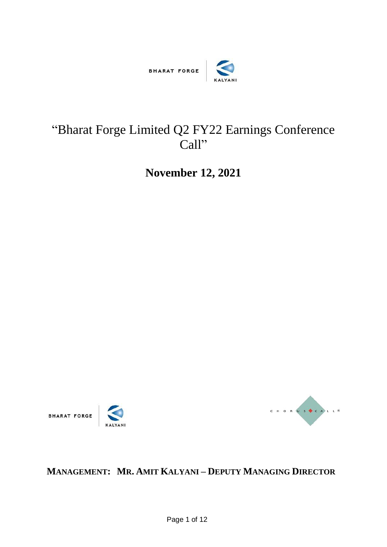

# "Bharat Forge Limited Q2 FY22 Earnings Conference Call"

**November 12, 2021**







## **MANAGEMENT: MR. AMIT KALYANI – DEPUTY MANAGING DIRECTOR**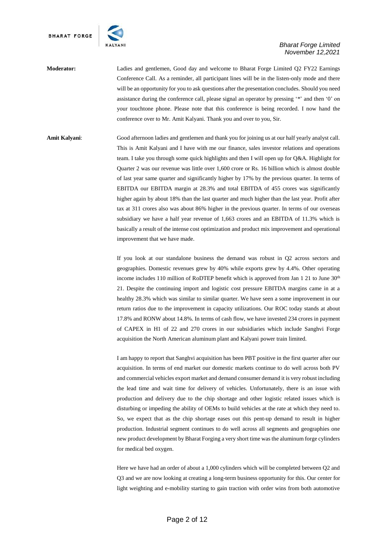

**Moderator:** Ladies and gentlemen, Good day and welcome to Bharat Forge Limited Q2 FY22 Earnings Conference Call. As a reminder, all participant lines will be in the listen-only mode and there will be an opportunity for you to ask questions after the presentation concludes. Should you need assistance during the conference call, please signal an operator by pressing '\*' and then '0' on your touchtone phone. Please note that this conference is being recorded. I now hand the conference over to Mr. Amit Kalyani. Thank you and over to you, Sir.

**Amit Kalyani**: Good afternoon ladies and gentlemen and thank you for joining us at our half yearly analyst call. This is Amit Kalyani and I have with me our finance, sales investor relations and operations team. I take you through some quick highlights and then I will open up for Q&A. Highlight for Quarter 2 was our revenue was little over 1,600 crore or Rs. 16 billion which is almost double of last year same quarter and significantly higher by 17% by the previous quarter. In terms of EBITDA our EBITDA margin at 28.3% and total EBITDA of 455 crores was significantly higher again by about 18% than the last quarter and much higher than the last year. Profit after tax at 311 crores also was about 86% higher in the previous quarter. In terms of our overseas subsidiary we have a half year revenue of 1,663 crores and an EBITDA of 11.3% which is basically a result of the intense cost optimization and product mix improvement and operational improvement that we have made.

> If you look at our standalone business the demand was robust in Q2 across sectors and geographies. Domestic revenues grew by 40% while exports grew by 4.4%. Other operating income includes 110 million of RoDTEP benefit which is approved from Jan 1 21 to June 30<sup>th</sup> 21. Despite the continuing import and logistic cost pressure EBITDA margins came in at a healthy 28.3% which was similar to similar quarter. We have seen a some improvement in our return ratios due to the improvement in capacity utilizations. Our ROC today stands at about 17.8% and RONW about 14.8%. In terms of cash flow, we have invested 234 crores in payment of CAPEX in H1 of 22 and 270 crores in our subsidiaries which include Sanghvi Forge acquisition the North American aluminum plant and Kalyani power train limited.

> I am happy to report that Sanghvi acquisition has been PBT positive in the first quarter after our acquisition. In terms of end market our domestic markets continue to do well across both PV and commercial vehicles export market and demand consumer demand it is very robust including the lead time and wait time for delivery of vehicles. Unfortunately, there is an issue with production and delivery due to the chip shortage and other logistic related issues which is disturbing or impeding the ability of OEMs to build vehicles at the rate at which they need to. So, we expect that as the chip shortage eases out this pent-up demand to result in higher production. Industrial segment continues to do well across all segments and geographies one new product development by Bharat Forging a very short time was the aluminum forge cylinders for medical bed oxygen.

> Here we have had an order of about a 1,000 cylinders which will be completed between Q2 and Q3 and we are now looking at creating a long-term business opportunity for this. Our center for light weighting and e-mobility starting to gain traction with order wins from both automotive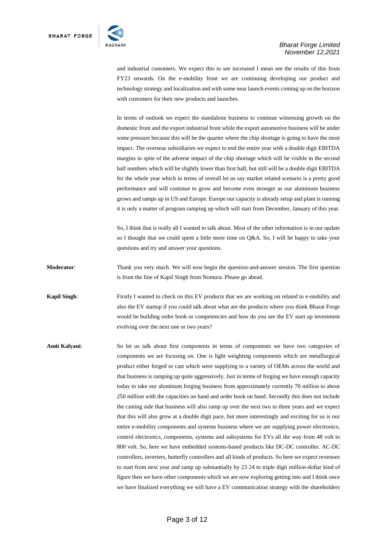

and industrial customers. We expect this to see increased I mean see the results of this from FY23 onwards. On the e-mobility front we are continuing developing our product and technology strategy and localization and with some near launch events coming up on the horizon with customers for their new products and launches.

In terms of outlook we expect the standalone business to continue witnessing growth on the domestic front and the export industrial front while the export automotive business will be under some pressure because this will be the quarter where the chip shortage is going to have the most impact. The overseas subsidiaries we expect to end the entire year with a double digit EBITDA margins in spite of the adverse impact of the chip shortage which will be visible in the second half numbers which will be slightly lower than first half, but still will be a double digit EBITDA for the whole year which in terms of overall let us say market related scenario is a pretty good performance and will continue to grow and become even stronger as our aluminum business grows and ramps up in US and Europe. Europe our capacity is already setup and plant is running it is only a matter of program ramping up which will start from December, January of this year.

So, I think that is really all I wanted to talk about. Most of the other information is in our update so I thought that we could spent a little more time on Q&A. So, I will be happy to take your questions and try and answer your questions.

**Moderator**: Thank you very much. We will now begin the question-and-answer session. The first question is from the line of Kapil Singh from Nomura. Please go ahead.

**Kapil Singh:** Firstly I wanted to check on this EV products that we are working on related to e-mobility and also the EV startup if you could talk about what are the products where you think Bharat Forge would be building order book or competencies and how do you see the EV start up investment evolving over the next one or two years?

**Amit Kalyani**: So let us talk about first components in terms of components we have two categories of components we are focusing on. One is light weighting components which are metallurgical product either forged or cast which were supplying to a variety of OEMs across the world and that business is ramping up quite aggressively. Just in terms of forging we have enough capacity today to take our aluminum forging business from approximately currently 70 million to about 250 million with the capacities on hand and order book on hand. Secondly this does not include the casting side that business will also ramp up over the next two to three years and we expect that this will also grow at a double digit pace, but more interestingly and exciting for us is our entire e-mobility components and systems business where we are supplying power electronics, control electronics, components, systems and subsystems for EVs all the way from 48 volt to 800 volt. So, here we have embedded systems-based products like DC-DC controller. AC-DC controllers, inverters, butterfly controllers and all kinds of products. So here we expect revenues to start from next year and ramp up substantially by 23 24 to triple digit million-dollar kind of figure then we have other components which we are now exploring getting into and I think once we have finalized everything we will have a EV communication strategy with the shareholders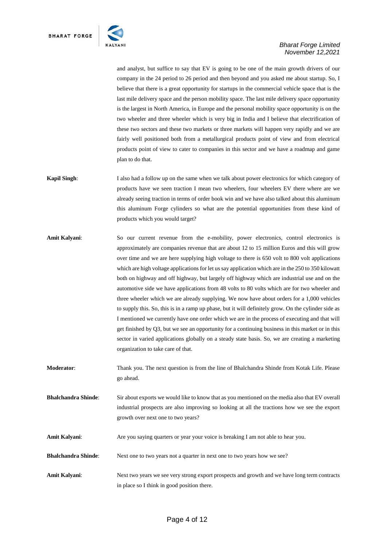

and analyst, but suffice to say that EV is going to be one of the main growth drivers of our company in the 24 period to 26 period and then beyond and you asked me about startup. So, I believe that there is a great opportunity for startups in the commercial vehicle space that is the last mile delivery space and the person mobility space. The last mile delivery space opportunity is the largest in North America, in Europe and the personal mobility space opportunity is on the two wheeler and three wheeler which is very big in India and I believe that electrification of these two sectors and these two markets or three markets will happen very rapidly and we are fairly well positioned both from a metallurgical products point of view and from electrical products point of view to cater to companies in this sector and we have a roadmap and game plan to do that.

- **Kapil Singh**: I also had a follow up on the same when we talk about power electronics for which category of products have we seen traction I mean two wheelers, four wheelers EV there where are we already seeing traction in terms of order book win and we have also talked about this aluminum this aluminum Forge cylinders so what are the potential opportunities from these kind of products which you would target?
- **Amit Kalyani**: So our current revenue from the e-mobility, power electronics, control electronics is approximately are companies revenue that are about 12 to 15 million Euros and this will grow over time and we are here supplying high voltage to there is 650 volt to 800 volt applications which are high voltage applications for let us say application which are in the 250 to 350 kilowatt both on highway and off highway, but largely off highway which are industrial use and on the automotive side we have applications from 48 volts to 80 volts which are for two wheeler and three wheeler which we are already supplying. We now have about orders for a 1,000 vehicles to supply this. So, this is in a ramp up phase, but it will definitely grow. On the cylinder side as I mentioned we currently have one order which we are in the process of executing and that will get finished by Q3, but we see an opportunity for a continuing business in this market or in this sector in varied applications globally on a steady state basis. So, we are creating a marketing organization to take care of that.
- **Moderator**: Thank you. The next question is from the line of Bhalchandra Shinde from Kotak Life. Please go ahead.
- **Bhalchandra Shinde**: Sir about exports we would like to know that as you mentioned on the media also that EV overall industrial prospects are also improving so looking at all the tractions how we see the export growth over next one to two years?
- **Amit Kalyani**: Are you saying quarters or year your voice is breaking I am not able to hear you.
- **Bhalchandra Shinde**: Next one to two years not a quarter in next one to two years how we see?
- **Amit Kalyani**: Next two years we see very strong export prospects and growth and we have long term contracts in place so I think in good position there.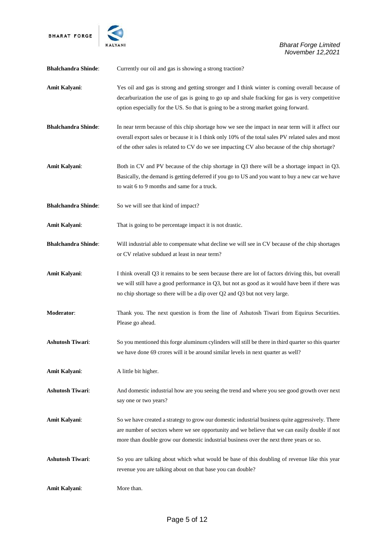

| <b>Bhalchandra Shinde:</b> | Currently our oil and gas is showing a strong traction?                                                                                                                                                                                                                                                  |
|----------------------------|----------------------------------------------------------------------------------------------------------------------------------------------------------------------------------------------------------------------------------------------------------------------------------------------------------|
| Amit Kalyani:              | Yes oil and gas is strong and getting stronger and I think winter is coming overall because of<br>decarburization the use of gas is going to go up and shale fracking for gas is very competitive<br>option especially for the US. So that is going to be a strong market going forward.                 |
| <b>Bhalchandra Shinde:</b> | In near term because of this chip shortage how we see the impact in near term will it affect our<br>overall export sales or because it is I think only 10% of the total sales PV related sales and most<br>of the other sales is related to CV do we see impacting CV also because of the chip shortage? |
| Amit Kalyani:              | Both in CV and PV because of the chip shortage in Q3 there will be a shortage impact in Q3.<br>Basically, the demand is getting deferred if you go to US and you want to buy a new car we have<br>to wait 6 to 9 months and same for a truck.                                                            |
| <b>Bhalchandra Shinde:</b> | So we will see that kind of impact?                                                                                                                                                                                                                                                                      |
| Amit Kalyani:              | That is going to be percentage impact it is not drastic.                                                                                                                                                                                                                                                 |
| <b>Bhalchandra Shinde:</b> | Will industrial able to compensate what decline we will see in CV because of the chip shortages<br>or CV relative subdued at least in near term?                                                                                                                                                         |
| Amit Kalyani:              | I think overall Q3 it remains to be seen because there are lot of factors driving this, but overall<br>we will still have a good performance in $Q3$ , but not as good as it would have been if there was<br>no chip shortage so there will be a dip over Q2 and Q3 but not very large.                  |
| Moderator:                 | Thank you. The next question is from the line of Ashutosh Tiwari from Equirus Securities.<br>Please go ahead.                                                                                                                                                                                            |
| <b>Ashutosh Tiwari:</b>    | So you mentioned this forge aluminum cylinders will still be there in third quarter so this quarter<br>we have done 69 crores will it be around similar levels in next quarter as well?                                                                                                                  |
| Amit Kalyani:              | A little bit higher.                                                                                                                                                                                                                                                                                     |
| <b>Ashutosh Tiwari:</b>    | And domestic industrial how are you seeing the trend and where you see good growth over next<br>say one or two years?                                                                                                                                                                                    |
| Amit Kalyani:              | So we have created a strategy to grow our domestic industrial business quite aggressively. There<br>are number of sectors where we see opportunity and we believe that we can easily double if not<br>more than double grow our domestic industrial business over the next three years or so.            |
| <b>Ashutosh Tiwari:</b>    | So you are talking about which what would be base of this doubling of revenue like this year<br>revenue you are talking about on that base you can double?                                                                                                                                               |
| Amit Kalyani:              | More than.                                                                                                                                                                                                                                                                                               |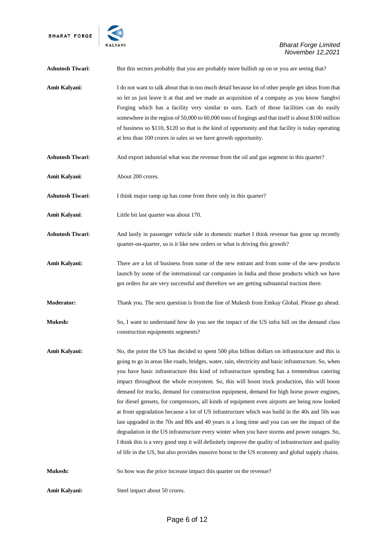

| <b>Ashutosh Tiwari:</b> | But this sectors probably that you are probably more bullish up on or you are seeing that?                                                                                                                                                                                                                                                                                                                                                                                                                                                                                                                                                                                                                                                                                                                                                                                                                                                                                                                                                                                                                               |
|-------------------------|--------------------------------------------------------------------------------------------------------------------------------------------------------------------------------------------------------------------------------------------------------------------------------------------------------------------------------------------------------------------------------------------------------------------------------------------------------------------------------------------------------------------------------------------------------------------------------------------------------------------------------------------------------------------------------------------------------------------------------------------------------------------------------------------------------------------------------------------------------------------------------------------------------------------------------------------------------------------------------------------------------------------------------------------------------------------------------------------------------------------------|
| <b>Amit Kalyani:</b>    | I do not want to talk about that in too much detail because lot of other people get ideas from that<br>so let us just leave it at that and we made an acquisition of a company as you know Sanghvi<br>Forging which has a facility very similar to ours. Each of those facilities can do easily<br>somewhere in the region of 50,000 to 60,000 tons of forgings and that itself is about \$100 million<br>of business so \$110, \$120 so that is the kind of opportunity and that facility is today operating<br>at less than 100 crores in sales so we have growth opportunity.                                                                                                                                                                                                                                                                                                                                                                                                                                                                                                                                         |
| <b>Ashutosh Tiwari:</b> | And export industrial what was the revenue from the oil and gas segment in this quarter?                                                                                                                                                                                                                                                                                                                                                                                                                                                                                                                                                                                                                                                                                                                                                                                                                                                                                                                                                                                                                                 |
| <b>Amit Kalyani:</b>    | About 200 crores.                                                                                                                                                                                                                                                                                                                                                                                                                                                                                                                                                                                                                                                                                                                                                                                                                                                                                                                                                                                                                                                                                                        |
| <b>Ashutosh Tiwari:</b> | I think major ramp up has come from there only in this quarter?                                                                                                                                                                                                                                                                                                                                                                                                                                                                                                                                                                                                                                                                                                                                                                                                                                                                                                                                                                                                                                                          |
| <b>Amit Kalyani:</b>    | Little bit last quarter was about 170.                                                                                                                                                                                                                                                                                                                                                                                                                                                                                                                                                                                                                                                                                                                                                                                                                                                                                                                                                                                                                                                                                   |
| <b>Ashutosh Tiwari:</b> | And lastly in passenger vehicle side in domestic market I think revenue has gone up recently<br>quarter-on-quarter, so is it like new orders or what is driving this growth?                                                                                                                                                                                                                                                                                                                                                                                                                                                                                                                                                                                                                                                                                                                                                                                                                                                                                                                                             |
| Amit Kalyani:           | There are a lot of business from some of the new entrant and from some of the new products<br>launch by some of the international car companies in India and those products which we have<br>got orders for are very successful and therefore we are getting substantial traction there.                                                                                                                                                                                                                                                                                                                                                                                                                                                                                                                                                                                                                                                                                                                                                                                                                                 |
| <b>Moderator:</b>       | Thank you. The next question is from the line of Mukesh from Emkay Global. Please go ahead.                                                                                                                                                                                                                                                                                                                                                                                                                                                                                                                                                                                                                                                                                                                                                                                                                                                                                                                                                                                                                              |
| <b>Mukesh:</b>          | So, I want to understand how do you see the impact of the US infra bill on the demand class<br>construction equipments segments?                                                                                                                                                                                                                                                                                                                                                                                                                                                                                                                                                                                                                                                                                                                                                                                                                                                                                                                                                                                         |
| <b>Amit Kalyani:</b>    | No, the point the US has decided to spent 500 plus billion dollars on infrastructure and this is<br>going to go in areas like roads, bridges, water, rain, electricity and basic infrastructure. So, when<br>you have basic infrastructure this kind of infrastructure spending has a tremendous catering<br>impact throughout the whole ecosystem. So, this will boost truck production, this will boost<br>demand for trucks, demand for construction equipment, demand for high horse power engines,<br>for diesel gensets, for compressors, all kinds of equipment even airports are being now looked<br>at from upgradation because a lot of US infrastructure which was build in the 40s and 50s was<br>last upgraded in the 70s and 80s and 40 years is a long time and you can see the impact of the<br>degradation in the US infrastructure every winter when you have storms and power outages. So,<br>I think this is a very good step it will definitely improve the quality of infrastructure and quality<br>of life in the US, but also provides massive boost to the US economy and global supply chains. |
| <b>Mukesh:</b>          | So how was the price increase impact this quarter on the revenue?                                                                                                                                                                                                                                                                                                                                                                                                                                                                                                                                                                                                                                                                                                                                                                                                                                                                                                                                                                                                                                                        |
| Amit Kalyani:           | Steel impact about 50 crores.                                                                                                                                                                                                                                                                                                                                                                                                                                                                                                                                                                                                                                                                                                                                                                                                                                                                                                                                                                                                                                                                                            |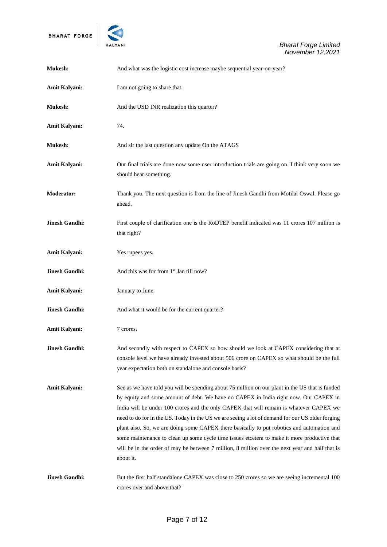

| <b>Mukesh:</b>        | And what was the logistic cost increase maybe sequential year-on-year?                                                                                                                                                                                                                                                                                                                                                                                                                                                                                                                                                                                                                               |
|-----------------------|------------------------------------------------------------------------------------------------------------------------------------------------------------------------------------------------------------------------------------------------------------------------------------------------------------------------------------------------------------------------------------------------------------------------------------------------------------------------------------------------------------------------------------------------------------------------------------------------------------------------------------------------------------------------------------------------------|
| <b>Amit Kalyani:</b>  | I am not going to share that.                                                                                                                                                                                                                                                                                                                                                                                                                                                                                                                                                                                                                                                                        |
| Mukesh:               | And the USD INR realization this quarter?                                                                                                                                                                                                                                                                                                                                                                                                                                                                                                                                                                                                                                                            |
| Amit Kalyani:         | 74.                                                                                                                                                                                                                                                                                                                                                                                                                                                                                                                                                                                                                                                                                                  |
| <b>Mukesh:</b>        | And sir the last question any update On the ATAGS                                                                                                                                                                                                                                                                                                                                                                                                                                                                                                                                                                                                                                                    |
| <b>Amit Kalyani:</b>  | Our final trials are done now some user introduction trials are going on. I think very soon we<br>should hear something.                                                                                                                                                                                                                                                                                                                                                                                                                                                                                                                                                                             |
| <b>Moderator:</b>     | Thank you. The next question is from the line of Jinesh Gandhi from Motilal Oswal. Please go<br>ahead.                                                                                                                                                                                                                                                                                                                                                                                                                                                                                                                                                                                               |
| <b>Jinesh Gandhi:</b> | First couple of clarification one is the RoDTEP benefit indicated was 11 crores 107 million is<br>that right?                                                                                                                                                                                                                                                                                                                                                                                                                                                                                                                                                                                        |
| Amit Kalyani:         | Yes rupees yes.                                                                                                                                                                                                                                                                                                                                                                                                                                                                                                                                                                                                                                                                                      |
| <b>Jinesh Gandhi:</b> | And this was for from 1st Jan till now?                                                                                                                                                                                                                                                                                                                                                                                                                                                                                                                                                                                                                                                              |
| Amit Kalyani:         | January to June.                                                                                                                                                                                                                                                                                                                                                                                                                                                                                                                                                                                                                                                                                     |
| <b>Jinesh Gandhi:</b> | And what it would be for the current quarter?                                                                                                                                                                                                                                                                                                                                                                                                                                                                                                                                                                                                                                                        |
| Amit Kalyani:         | 7 crores.                                                                                                                                                                                                                                                                                                                                                                                                                                                                                                                                                                                                                                                                                            |
| <b>Jinesh Gandhi:</b> | And secondly with respect to CAPEX so how should we look at CAPEX considering that at<br>console level we have already invested about 506 crore on CAPEX so what should be the full<br>year expectation both on standalone and console basis?                                                                                                                                                                                                                                                                                                                                                                                                                                                        |
| <b>Amit Kalyani:</b>  | See as we have told you will be spending about 75 million on our plant in the US that is funded<br>by equity and some amount of debt. We have no CAPEX in India right now. Our CAPEX in<br>India will be under 100 crores and the only CAPEX that will remain is whatever CAPEX we<br>need to do for in the US. Today in the US we are seeing a lot of demand for our US older forging<br>plant also. So, we are doing some CAPEX there basically to put robotics and automation and<br>some maintenance to clean up some cycle time issues etcetera to make it more productive that<br>will be in the order of may be between 7 million, 8 million over the next year and half that is<br>about it. |
| <b>Jinesh Gandhi:</b> | But the first half standalone CAPEX was close to 250 crores so we are seeing incremental 100<br>crores over and above that?                                                                                                                                                                                                                                                                                                                                                                                                                                                                                                                                                                          |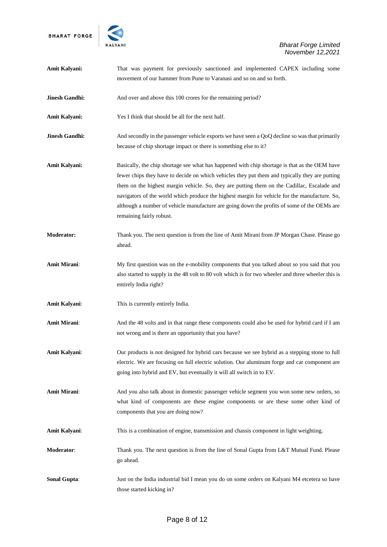

| <b>Amit Kalyani:</b>  | That was payment for previously sanctioned and implemented CAPEX including some<br>movement of our hammer from Pune to Varanasi and so on and so forth.                                                                                                                                                                                                                                                                                                                                                                    |
|-----------------------|----------------------------------------------------------------------------------------------------------------------------------------------------------------------------------------------------------------------------------------------------------------------------------------------------------------------------------------------------------------------------------------------------------------------------------------------------------------------------------------------------------------------------|
| <b>Jinesh Gandhi:</b> | And over and above this 100 crores for the remaining period?                                                                                                                                                                                                                                                                                                                                                                                                                                                               |
| Amit Kalyani:         | Yes I think that should be all for the next half.                                                                                                                                                                                                                                                                                                                                                                                                                                                                          |
| <b>Jinesh Gandhi:</b> | And secondly in the passenger vehicle exports we have seen a QoQ decline so was that primarily<br>because of chip shortage impact or there is something else to it?                                                                                                                                                                                                                                                                                                                                                        |
| Amit Kalyani:         | Basically, the chip shortage see what has happened with chip shortage is that as the OEM have<br>fewer chips they have to decide on which vehicles they put them and typically they are putting<br>them on the highest margin vehicle. So, they are putting them on the Cadillac, Escalade and<br>navigators of the world which produce the highest margin for vehicle for the manufacture. So,<br>although a number of vehicle manufacture are going down the profits of some of the OEMs are<br>remaining fairly robust. |
| <b>Moderator:</b>     | Thank you. The next question is from the line of Amit Mirani from JP Morgan Chase. Please go<br>ahead.                                                                                                                                                                                                                                                                                                                                                                                                                     |
| <b>Amit Mirani:</b>   | My first question was on the e-mobility components that you talked about so you said that you<br>also started to supply in the 48 volt to 80 volt which is for two wheeler and three wheeler this is<br>entirely India right?                                                                                                                                                                                                                                                                                              |
| Amit Kalyani:         | This is currently entirely India.                                                                                                                                                                                                                                                                                                                                                                                                                                                                                          |
| <b>Amit Mirani:</b>   | And the 48 volts and in that range these components could also be used for hybrid card if I am<br>not wrong and is there an opportunity that you have?                                                                                                                                                                                                                                                                                                                                                                     |
| Amit Kalyani:         | Our products is not designed for hybrid cars because we see hybrid as a stepping stone to full<br>electric. We are focusing on full electric solution. Our aluminum forge and car component are<br>going into hybrid and EV, but eventually it will all switch in to EV.                                                                                                                                                                                                                                                   |
| <b>Amit Mirani:</b>   | And you also talk about in domestic passenger vehicle segment you won some new orders, so<br>what kind of components are these engine components or are these some other kind of<br>components that you are doing now?                                                                                                                                                                                                                                                                                                     |
| Amit Kalyani:         | This is a combination of engine, transmission and chassis component in light weighting.                                                                                                                                                                                                                                                                                                                                                                                                                                    |
| Moderator:            | Thank you. The next question is from the line of Sonal Gupta from L&T Mutual Fund. Please<br>go ahead.                                                                                                                                                                                                                                                                                                                                                                                                                     |
| <b>Sonal Gupta:</b>   | Just on the India industrial bid I mean you do on some orders on Kalyani M4 etcetera so have<br>those started kicking in?                                                                                                                                                                                                                                                                                                                                                                                                  |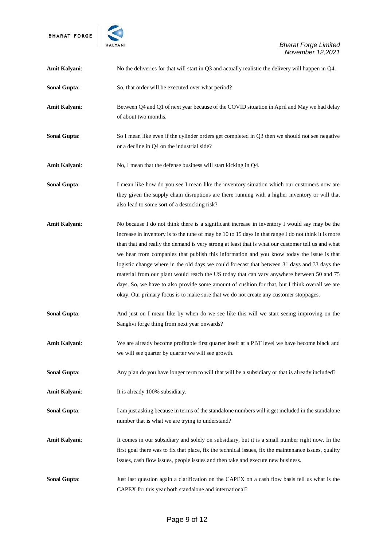

| Amit Kalyani:       | No the deliveries for that will start in Q3 and actually realistic the delivery will happen in Q4.                                                                                                                                                                                                                                                                                                                                                                                                                                                                                                                                                                                                                                                                                              |
|---------------------|-------------------------------------------------------------------------------------------------------------------------------------------------------------------------------------------------------------------------------------------------------------------------------------------------------------------------------------------------------------------------------------------------------------------------------------------------------------------------------------------------------------------------------------------------------------------------------------------------------------------------------------------------------------------------------------------------------------------------------------------------------------------------------------------------|
| <b>Sonal Gupta:</b> | So, that order will be executed over what period?                                                                                                                                                                                                                                                                                                                                                                                                                                                                                                                                                                                                                                                                                                                                               |
| Amit Kalyani:       | Between Q4 and Q1 of next year because of the COVID situation in April and May we had delay<br>of about two months.                                                                                                                                                                                                                                                                                                                                                                                                                                                                                                                                                                                                                                                                             |
| <b>Sonal Gupta:</b> | So I mean like even if the cylinder orders get completed in Q3 then we should not see negative<br>or a decline in Q4 on the industrial side?                                                                                                                                                                                                                                                                                                                                                                                                                                                                                                                                                                                                                                                    |
| Amit Kalyani:       | No, I mean that the defense business will start kicking in Q4.                                                                                                                                                                                                                                                                                                                                                                                                                                                                                                                                                                                                                                                                                                                                  |
| <b>Sonal Gupta:</b> | I mean like how do you see I mean like the inventory situation which our customers now are<br>they given the supply chain disruptions are there running with a higher inventory or will that<br>also lead to some sort of a destocking risk?                                                                                                                                                                                                                                                                                                                                                                                                                                                                                                                                                    |
| Amit Kalyani:       | No because I do not think there is a significant increase in inventory I would say may be the<br>increase in inventory is to the tune of may be 10 to 15 days in that range I do not think it is more<br>than that and really the demand is very strong at least that is what our customer tell us and what<br>we hear from companies that publish this information and you know today the issue is that<br>logistic change where in the old days we could forecast that between 31 days and 33 days the<br>material from our plant would reach the US today that can vary anywhere between 50 and 75<br>days. So, we have to also provide some amount of cushion for that, but I think overall we are<br>okay. Our primary focus is to make sure that we do not create any customer stoppages. |
| <b>Sonal Gupta:</b> | And just on I mean like by when do we see like this will we start seeing improving on the<br>Sanghvi forge thing from next year onwards?                                                                                                                                                                                                                                                                                                                                                                                                                                                                                                                                                                                                                                                        |
| Amit Kalyani:       | We are already become profitable first quarter itself at a PBT level we have become black and<br>we will see quarter by quarter we will see growth.                                                                                                                                                                                                                                                                                                                                                                                                                                                                                                                                                                                                                                             |
| <b>Sonal Gupta:</b> | Any plan do you have longer term to will that will be a subsidiary or that is already included?                                                                                                                                                                                                                                                                                                                                                                                                                                                                                                                                                                                                                                                                                                 |
| Amit Kalyani:       | It is already 100% subsidiary.                                                                                                                                                                                                                                                                                                                                                                                                                                                                                                                                                                                                                                                                                                                                                                  |
| <b>Sonal Gupta:</b> | I am just asking because in terms of the standalone numbers will it get included in the standalone<br>number that is what we are trying to understand?                                                                                                                                                                                                                                                                                                                                                                                                                                                                                                                                                                                                                                          |
| Amit Kalyani:       | It comes in our subsidiary and solely on subsidiary, but it is a small number right now. In the<br>first goal there was to fix that place, fix the technical issues, fix the maintenance issues, quality<br>issues, cash flow issues, people issues and then take and execute new business.                                                                                                                                                                                                                                                                                                                                                                                                                                                                                                     |
| <b>Sonal Gupta:</b> | Just last question again a clarification on the CAPEX on a cash flow basis tell us what is the<br>CAPEX for this year both standalone and international?                                                                                                                                                                                                                                                                                                                                                                                                                                                                                                                                                                                                                                        |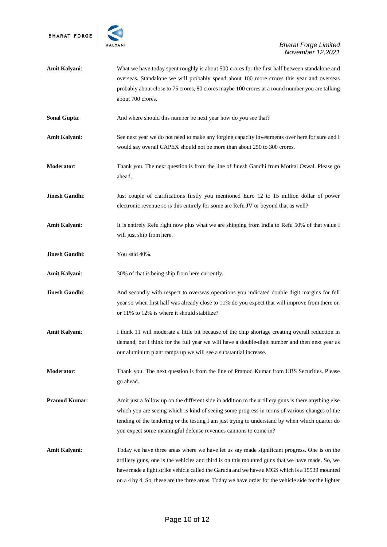

| Amit Kalyani:       | What we have today spent roughly is about 500 crores for the first half between standalone and<br>overseas. Standalone we will probably spend about 100 more crores this year and overseas<br>probably about close to 75 crores, 80 crores maybe 100 crores at a round number you are talking<br>about 700 crores.                                                                                      |
|---------------------|---------------------------------------------------------------------------------------------------------------------------------------------------------------------------------------------------------------------------------------------------------------------------------------------------------------------------------------------------------------------------------------------------------|
| <b>Sonal Gupta:</b> | And where should this number be next year how do you see that?                                                                                                                                                                                                                                                                                                                                          |
| Amit Kalyani:       | See next year we do not need to make any forging capacity investments over here for sure and I<br>would say overall CAPEX should not be more than about 250 to 300 crores.                                                                                                                                                                                                                              |
| <b>Moderator:</b>   | Thank you. The next question is from the line of Jinesh Gandhi from Motital Oswal. Please go<br>ahead.                                                                                                                                                                                                                                                                                                  |
| Jinesh Gandhi:      | Just couple of clarifications firstly you mentioned Euro 12 to 15 million dollar of power<br>electronic revenue so is this entirely for some are Refu JV or beyond that as well?                                                                                                                                                                                                                        |
| Amit Kalyani:       | It is entirely Refu right now plus what we are shipping from India to Refu 50% of that value I<br>will just ship from here.                                                                                                                                                                                                                                                                             |
| Jinesh Gandhi:      | You said 40%.                                                                                                                                                                                                                                                                                                                                                                                           |
| Amit Kalyani:       | 30% of that is being ship from here currently.                                                                                                                                                                                                                                                                                                                                                          |
| Jinesh Gandhi:      | And secondly with respect to overseas operations you indicated double digit margins for full<br>year so when first half was already close to 11% do you expect that will improve from there on<br>or 11% to 12% is where it should stabilize?                                                                                                                                                           |
| Amit Kalyani:       | I think 11 will moderate a little bit because of the chip shortage creating overall reduction in<br>demand, but I think for the full year we will have a double-digit number and then next year as<br>our aluminum plant ramps up we will see a substantial increase.                                                                                                                                   |
| <b>Moderator:</b>   | Thank you. The next question is from the line of Pramod Kumar from UBS Securities. Please<br>go ahead.                                                                                                                                                                                                                                                                                                  |
| Pramod Kumar:       | Amit just a follow up on the different side in addition to the artillery guns is there anything else<br>which you are seeing which is kind of seeing some progress in terms of various changes of the<br>tending of the tendering or the testing I am just trying to understand by when which quarter do<br>you expect some meaningful defense revenues cannons to come in?                             |
| Amit Kalyani:       | Today we have three areas where we have let us say made significant progress. One is on the<br>artillery guns, one is the vehicles and third is on this mounted guns that we have made. So, we<br>have made a light strike vehicle called the Garuda and we have a MGS which is a 15539 mounted<br>on a 4 by 4. So, these are the three areas. Today we have order for the vehicle side for the lighter |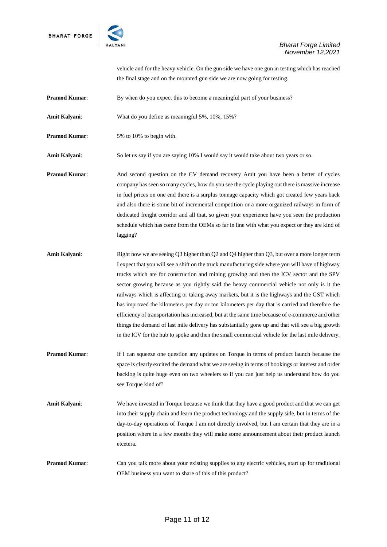

vehicle and for the heavy vehicle. On the gun side we have one gun in testing which has reached the final stage and on the mounted gun side we are now going for testing.

**Pramod Kumar:** By when do you expect this to become a meaningful part of your business?

**Amit Kalyani**: What do you define as meaningful 5%, 10%, 15%?

**Pramod Kumar:** 5% to 10% to begin with.

**Amit Kalyani**: So let us say if you are saying 10% I would say it would take about two years or so.

**Pramod Kumar:** And second question on the CV demand recovery Amit you have been a better of cycles company has seen so many cycles, how do you see the cycle playing out there is massive increase in fuel prices on one end there is a surplus tonnage capacity which got created few years back and also there is some bit of incremental competition or a more organized railways in form of dedicated freight corridor and all that, so given your experience have you seen the production schedule which has come from the OEMs so far in line with what you expect or they are kind of lagging?

**Amit Kalyani**: Right now we are seeing Q3 higher than Q2 and Q4 higher than Q3, but over a more longer term I expect that you will see a shift on the truck manufacturing side where you will have of highway trucks which are for construction and mining growing and then the ICV sector and the SPV sector growing because as you rightly said the heavy commercial vehicle not only is it the railways which is affecting or taking away markets, but it is the highways and the GST which has improved the kilometers per day or ton kilometers per day that is carried and therefore the efficiency of transportation has increased, but at the same time because of e-commerce and other things the demand of last mile delivery has substantially gone up and that will see a big growth in the ICV for the hub to spoke and then the small commercial vehicle for the last mile delivery.

- **Pramod Kumar:** If I can squeeze one question any updates on Torque in terms of product launch because the space is clearly excited the demand what we are seeing in terms of bookings or interest and order backlog is quite huge even on two wheelers so if you can just help us understand how do you see Torque kind of?
- **Amit Kalyani**: We have invested in Torque because we think that they have a good product and that we can get into their supply chain and learn the product technology and the supply side, but in terms of the day-to-day operations of Torque I am not directly involved, but I am certain that they are in a position where in a few months they will make some announcement about their product launch etcetera.

**Pramod Kumar:** Can you talk more about your existing supplies to any electric vehicles, start up for traditional OEM business you want to share of this of this product?